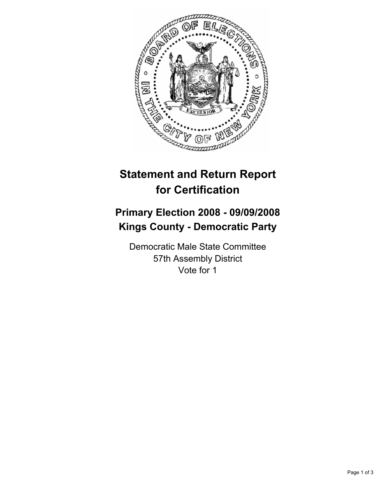

## **Statement and Return Report for Certification**

## **Primary Election 2008 - 09/09/2008 Kings County - Democratic Party**

Democratic Male State Committee 57th Assembly District Vote for 1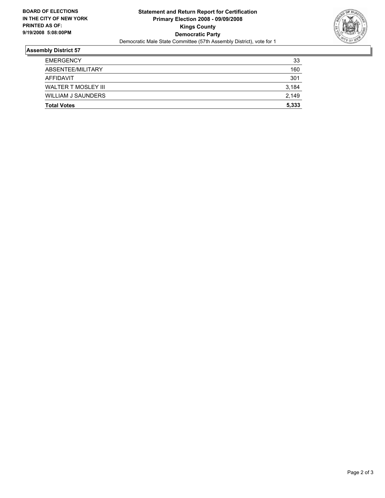

## **Assembly District 57**

| <b>Total Votes</b>        | 5,333 |
|---------------------------|-------|
| <b>WILLIAM J SAUNDERS</b> | 2,149 |
| WALTER T MOSLEY III       | 3,184 |
| AFFIDAVIT                 | 301   |
| ABSENTEE/MILITARY         | 160   |
| <b>EMERGENCY</b>          | 33    |